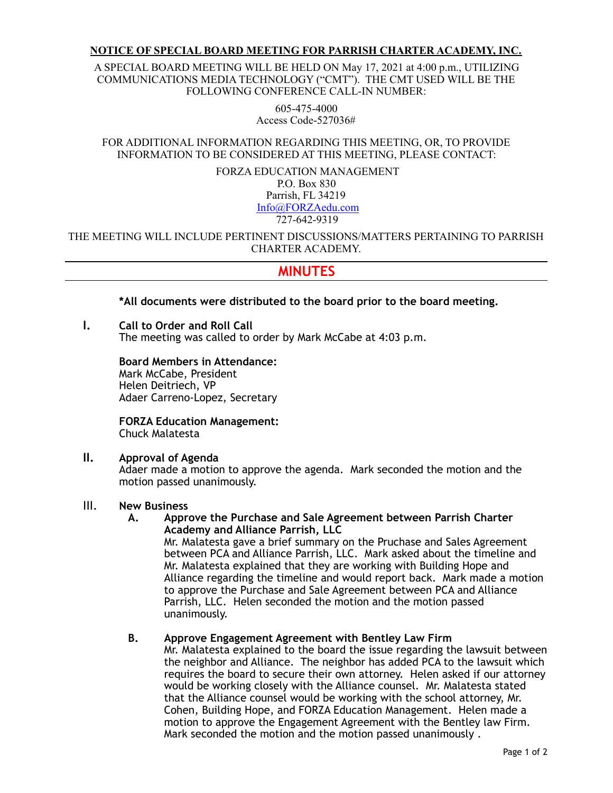### **NOTICE OF SPECIAL BOARD MEETING FOR PARRISH CHARTER ACADEMY, INC.**

A SPECIAL BOARD MEETING WILL BE HELD ON May 17, 2021 at 4:00 p.m., UTILIZING COMMUNICATIONS MEDIA TECHNOLOGY ("CMT"). THE CMT USED WILL BE THE FOLLOWING CONFERENCE CALL-IN NUMBER:

> 605-475-4000 Access Code-527036#

FOR ADDITIONAL INFORMATION REGARDING THIS MEETING, OR, TO PROVIDE INFORMATION TO BE CONSIDERED AT THIS MEETING, PLEASE CONTACT:

> FORZA EDUCATION MANAGEMENT P.O. Box 830 Parrish, FL 34219 [Info@FORZAedu.com](mailto:Info@FORZAedu.com) 727-642-9319

THE MEETING WILL INCLUDE PERTINENT DISCUSSIONS/MATTERS PERTAINING TO PARRISH CHARTER ACADEMY.

# **MINUTES**

## **\*All documents were distributed to the board prior to the board meeting.**

**I. Call to Order and Roll Call**  The meeting was called to order by Mark McCabe at 4:03 p.m.

## **Board Members in Attendance:**

Mark McCabe, President Helen Deitriech, VP Adaer Carreno-Lopez, Secretary

**FORZA Education Management:**  Chuck Malatesta

## **II. Approval of Agenda**

Adaer made a motion to approve the agenda. Mark seconded the motion and the motion passed unanimously.

#### III. **New Business**

**A. Approve the Purchase and Sale Agreement between Parrish Charter Academy and Alliance Parrish, LLC** 

Mr. Malatesta gave a brief summary on the Pruchase and Sales Agreement between PCA and Alliance Parrish, LLC. Mark asked about the timeline and Mr. Malatesta explained that they are working with Building Hope and Alliance regarding the timeline and would report back. Mark made a motion to approve the Purchase and Sale Agreement between PCA and Alliance Parrish, LLC. Helen seconded the motion and the motion passed unanimously.

## **B. Approve Engagement Agreement with Bentley Law Firm**

Mr. Malatesta explained to the board the issue regarding the lawsuit between the neighbor and Alliance. The neighbor has added PCA to the lawsuit which requires the board to secure their own attorney. Helen asked if our attorney would be working closely with the Alliance counsel. Mr. Malatesta stated that the Alliance counsel would be working with the school attorney, Mr. Cohen, Building Hope, and FORZA Education Management. Helen made a motion to approve the Engagement Agreement with the Bentley law Firm. Mark seconded the motion and the motion passed unanimously .